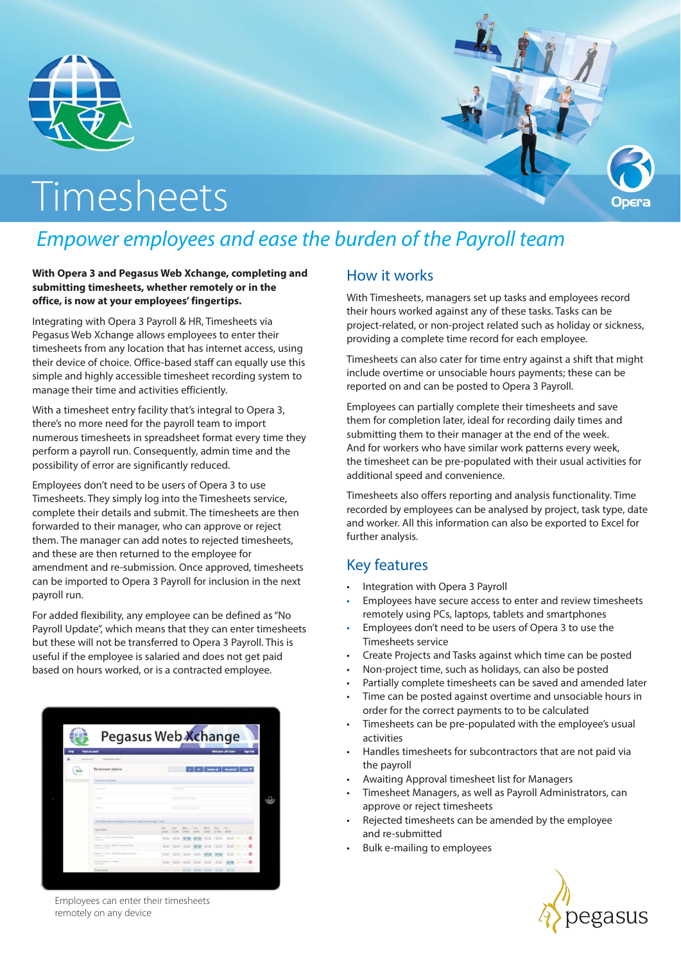

# Timesheets

## *Empower employees and ease the burden of the Payroll team*

#### **With Opera 3 and Pegasus Web Xchange, completing and submitting timesheets, whether remotely or in the office, is now at your employees' fingertips.**

Integrating with Opera 3 Payroll & HR, Timesheets via Pegasus Web Xchange allows employees to enter their timesheets from any location that has internet access, using their device of choice. Office-based staff can equally use this simple and highly accessible timesheet recording system to manage their time and activities efficiently.

With a timesheet entry facility that's integral to Opera 3, there's no more need for the payroll team to import numerous timesheets in spreadsheet format every time they perform a payroll run. Consequently, admin time and the possibility of error are significantly reduced.

Employees don't need to be users of Opera 3 to use Timesheets. They simply log into the Timesheets service, complete their details and submit. The timesheets are then forwarded to their manager, who can approve or reject them. The manager can add notes to rejected timesheets, and these are then returned to the employee for amendment and re-submission. Once approved, timesheets can be imported to Opera 3 Payroll for inclusion in the next payroll run.

For added flexibility, any employee can be defined as "No Payroll Update", which means that they can enter timesheets but these will not be transferred to Opera 3 Payroll. This is useful if the employee is salaried and does not get paid based on hours worked, or is a contracted employee.

|            | Pegasus Web Xchange                                          |                       |               |               |               |                   |                |                                           |  |             |                 |
|------------|--------------------------------------------------------------|-----------------------|---------------|---------------|---------------|-------------------|----------------|-------------------------------------------|--|-------------|-----------------|
|            |                                                              |                       |               |               |               |                   |                |                                           |  |             |                 |
| is in      | <b>Your account</b>                                          |                       |               |               |               |                   |                | Welcome JBI Fisher                        |  |             | <b>Sign Out</b> |
| Ilmasheeta | Timeshied astly                                              |                       |               |               |               |                   |                |                                           |  |             |                 |
|            | <b>Timesheet details</b>                                     |                       |               |               |               | <b>Delate all</b> |                | <b>Recall all</b>                         |  | <b>Add</b>  |                 |
|            | Timesheet details                                            |                       |               |               |               |                   |                |                                           |  |             |                 |
|            | <b>Subscribe</b>                                             |                       | J.K. Fashan   |               |               |                   |                |                                           |  |             |                 |
|            | <b>Tyme</b>                                                  | 23880015.006.039      |               |               |               |                   |                |                                           |  |             |                 |
|            | <b>Statute</b>                                               | Parting worker subset |               |               |               |                   |                |                                           |  |             |                 |
|            | Activities films displayed in fears and minutes (e.g. 1.301) |                       |               |               |               |                   |                |                                           |  |             |                 |
|            | TAXA/SN/R                                                    | 5.41<br>22101         | Name<br>23/06 | Mint<br>34.08 | Tim<br>31,010 | Wed<br>24, 616    | This<br>27.018 | FH.<br>28/04                              |  |             |                 |
|            | Open 3-214 - With Functional Space<br><b>Service</b>         | 00:00                 | 00:00         | 07:30         | 87:30         | 00:00             | 00:00          | 00:00                                     |  |             | o               |
|            | Opera 142.24 - 2016 Functional Spec<br>Cherboa Pazz 117      | 02:00                 | 00:00         | 00:00         | 01:30         | 00.00             | 00:00          | 0000                                      |  |             | o               |
|            | Denve 3 x7.24 - WHA Development Spec<br><b>Service</b>       | 00:00                 | 00:00         | 00:00         | 00:00         | 07:30             | 07:30          | 00:00                                     |  | $\sim$      | o               |
|            | GANNIN WIPER - FRONTING<br><b>Summer</b>                     | 00.00                 | 00.00         | 00.00         | 000           |                   | 03.03          | 07:30                                     |  | <b>Seat</b> | o               |
|            | <b>Clothy hotats</b>                                         |                       |               |               |               |                   |                | 20.00 00:00 97:30 09:00 97:30 07:30 07:36 |  |             |                 |

Employees can enter their timesheets remotely on any device

#### How it works

With Timesheets, managers set up tasks and employees record their hours worked against any of these tasks. Tasks can be project-related, or non-project related such as holiday or sickness, providing a complete time record for each employee.

Timesheets can also cater for time entry against a shift that might include overtime or unsociable hours payments; these can be reported on and can be posted to Opera 3 Payroll.

Employees can partially complete their timesheets and save them for completion later, ideal for recording daily times and submitting them to their manager at the end of the week. And for workers who have similar work patterns every week, the timesheet can be pre-populated with their usual activities for additional speed and convenience.

Timesheets also offers reporting and analysis functionality. Time recorded by employees can be analysed by project, task type, date and worker. All this information can also be exported to Excel for further analysis.

#### Key features

- Integration with Opera 3 Payroll
- Employees have secure access to enter and review timesheets remotely using PCs, laptops, tablets and smartphones
- Employees don't need to be users of Opera 3 to use the Timesheets service
- Create Projects and Tasks against which time can be posted
- Non-project time, such as holidays, can also be posted
- Partially complete timesheets can be saved and amended later
- Time can be posted against overtime and unsociable hours in order for the correct payments to to be calculated
- Timesheets can be pre-populated with the employee's usual activities
- Handles timesheets for subcontractors that are not paid via the payroll
- Awaiting Approval timesheet list for Managers
- Timesheet Managers, as well as Payroll Administrators, can approve or reject timesheets
- Rejected timesheets can be amended by the employee and re-submitted
- Bulk e-mailing to employees